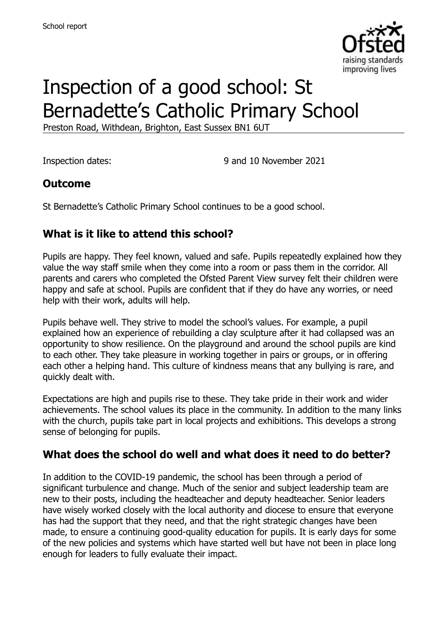

# Inspection of a good school: St Bernadette's Catholic Primary School

Preston Road, Withdean, Brighton, East Sussex BN1 6UT

Inspection dates: 9 and 10 November 2021

#### **Outcome**

St Bernadette's Catholic Primary School continues to be a good school.

# **What is it like to attend this school?**

Pupils are happy. They feel known, valued and safe. Pupils repeatedly explained how they value the way staff smile when they come into a room or pass them in the corridor. All parents and carers who completed the Ofsted Parent View survey felt their children were happy and safe at school. Pupils are confident that if they do have any worries, or need help with their work, adults will help.

Pupils behave well. They strive to model the school's values. For example, a pupil explained how an experience of rebuilding a clay sculpture after it had collapsed was an opportunity to show resilience. On the playground and around the school pupils are kind to each other. They take pleasure in working together in pairs or groups, or in offering each other a helping hand. This culture of kindness means that any bullying is rare, and quickly dealt with.

Expectations are high and pupils rise to these. They take pride in their work and wider achievements. The school values its place in the community. In addition to the many links with the church, pupils take part in local projects and exhibitions. This develops a strong sense of belonging for pupils.

#### **What does the school do well and what does it need to do better?**

In addition to the COVID-19 pandemic, the school has been through a period of significant turbulence and change. Much of the senior and subject leadership team are new to their posts, including the headteacher and deputy headteacher. Senior leaders have wisely worked closely with the local authority and diocese to ensure that everyone has had the support that they need, and that the right strategic changes have been made, to ensure a continuing good-quality education for pupils. It is early days for some of the new policies and systems which have started well but have not been in place long enough for leaders to fully evaluate their impact.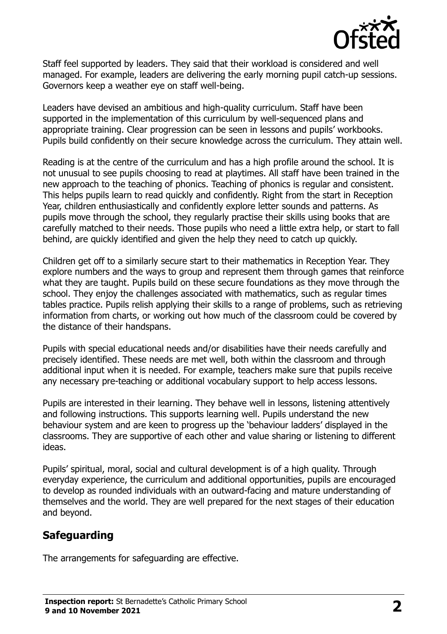

Staff feel supported by leaders. They said that their workload is considered and well managed. For example, leaders are delivering the early morning pupil catch-up sessions. Governors keep a weather eye on staff well-being.

Leaders have devised an ambitious and high-quality curriculum. Staff have been supported in the implementation of this curriculum by well-sequenced plans and appropriate training. Clear progression can be seen in lessons and pupils' workbooks. Pupils build confidently on their secure knowledge across the curriculum. They attain well.

Reading is at the centre of the curriculum and has a high profile around the school. It is not unusual to see pupils choosing to read at playtimes. All staff have been trained in the new approach to the teaching of phonics. Teaching of phonics is regular and consistent. This helps pupils learn to read quickly and confidently. Right from the start in Reception Year, children enthusiastically and confidently explore letter sounds and patterns. As pupils move through the school, they regularly practise their skills using books that are carefully matched to their needs. Those pupils who need a little extra help, or start to fall behind, are quickly identified and given the help they need to catch up quickly.

Children get off to a similarly secure start to their mathematics in Reception Year. They explore numbers and the ways to group and represent them through games that reinforce what they are taught. Pupils build on these secure foundations as they move through the school. They enjoy the challenges associated with mathematics, such as regular times tables practice. Pupils relish applying their skills to a range of problems, such as retrieving information from charts, or working out how much of the classroom could be covered by the distance of their handspans.

Pupils with special educational needs and/or disabilities have their needs carefully and precisely identified. These needs are met well, both within the classroom and through additional input when it is needed. For example, teachers make sure that pupils receive any necessary pre-teaching or additional vocabulary support to help access lessons.

Pupils are interested in their learning. They behave well in lessons, listening attentively and following instructions. This supports learning well. Pupils understand the new behaviour system and are keen to progress up the 'behaviour ladders' displayed in the classrooms. They are supportive of each other and value sharing or listening to different ideas.

Pupils' spiritual, moral, social and cultural development is of a high quality. Through everyday experience, the curriculum and additional opportunities, pupils are encouraged to develop as rounded individuals with an outward-facing and mature understanding of themselves and the world. They are well prepared for the next stages of their education and beyond.

# **Safeguarding**

The arrangements for safeguarding are effective.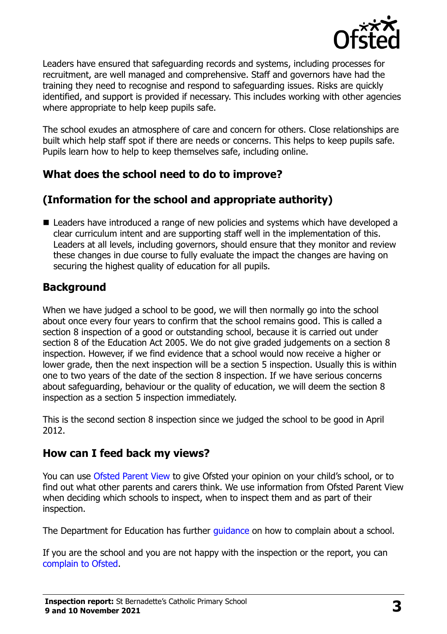

Leaders have ensured that safeguarding records and systems, including processes for recruitment, are well managed and comprehensive. Staff and governors have had the training they need to recognise and respond to safeguarding issues. Risks are quickly identified, and support is provided if necessary. This includes working with other agencies where appropriate to help keep pupils safe.

The school exudes an atmosphere of care and concern for others. Close relationships are built which help staff spot if there are needs or concerns. This helps to keep pupils safe. Pupils learn how to help to keep themselves safe, including online.

#### **What does the school need to do to improve?**

# **(Information for the school and appropriate authority)**

■ Leaders have introduced a range of new policies and systems which have developed a clear curriculum intent and are supporting staff well in the implementation of this. Leaders at all levels, including governors, should ensure that they monitor and review these changes in due course to fully evaluate the impact the changes are having on securing the highest quality of education for all pupils.

# **Background**

When we have judged a school to be good, we will then normally go into the school about once every four years to confirm that the school remains good. This is called a section 8 inspection of a good or outstanding school, because it is carried out under section 8 of the Education Act 2005. We do not give graded judgements on a section 8 inspection. However, if we find evidence that a school would now receive a higher or lower grade, then the next inspection will be a section 5 inspection. Usually this is within one to two years of the date of the section 8 inspection. If we have serious concerns about safeguarding, behaviour or the quality of education, we will deem the section 8 inspection as a section 5 inspection immediately.

This is the second section 8 inspection since we judged the school to be good in April 2012.

#### **How can I feed back my views?**

You can use [Ofsted Parent View](https://parentview.ofsted.gov.uk/) to give Ofsted your opinion on your child's school, or to find out what other parents and carers think. We use information from Ofsted Parent View when deciding which schools to inspect, when to inspect them and as part of their inspection.

The Department for Education has further quidance on how to complain about a school.

If you are the school and you are not happy with the inspection or the report, you can [complain to Ofsted.](https://www.gov.uk/complain-ofsted-report)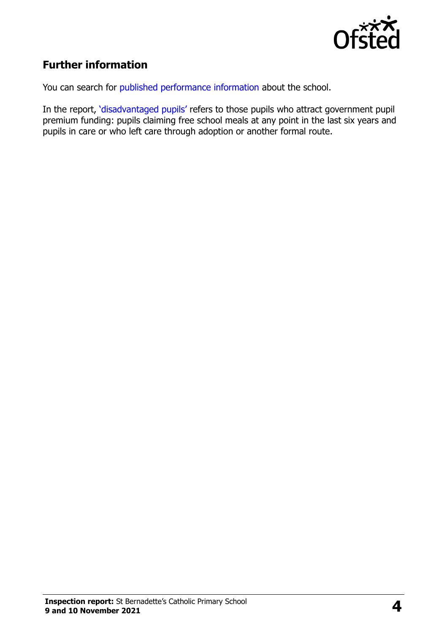

# **Further information**

You can search for [published performance information](http://www.compare-school-performance.service.gov.uk/) about the school.

In the report, '[disadvantaged pupils](http://www.gov.uk/guidance/pupil-premium-information-for-schools-and-alternative-provision-settings)' refers to those pupils who attract government pupil premium funding: pupils claiming free school meals at any point in the last six years and pupils in care or who left care through adoption or another formal route.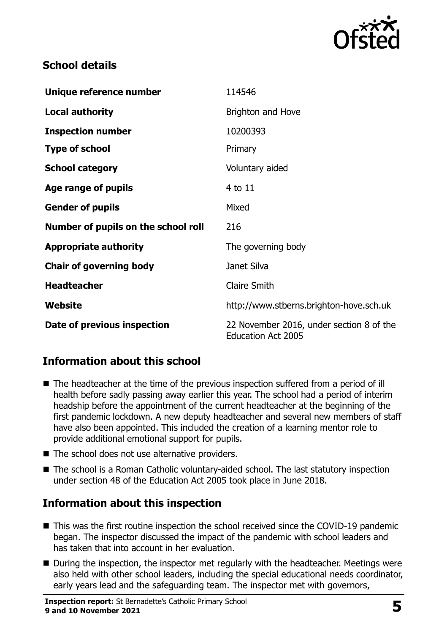

#### **School details**

| Unique reference number             | 114546                                                                |
|-------------------------------------|-----------------------------------------------------------------------|
| <b>Local authority</b>              | Brighton and Hove                                                     |
| <b>Inspection number</b>            | 10200393                                                              |
| <b>Type of school</b>               | Primary                                                               |
| <b>School category</b>              | Voluntary aided                                                       |
| Age range of pupils                 | 4 to 11                                                               |
| <b>Gender of pupils</b>             | Mixed                                                                 |
| Number of pupils on the school roll | 216                                                                   |
| <b>Appropriate authority</b>        | The governing body                                                    |
| <b>Chair of governing body</b>      | Janet Silva                                                           |
| <b>Headteacher</b>                  | <b>Claire Smith</b>                                                   |
| Website                             | http://www.stberns.brighton-hove.sch.uk                               |
| Date of previous inspection         | 22 November 2016, under section 8 of the<br><b>Education Act 2005</b> |

# **Information about this school**

- The headteacher at the time of the previous inspection suffered from a period of ill health before sadly passing away earlier this year. The school had a period of interim headship before the appointment of the current headteacher at the beginning of the first pandemic lockdown. A new deputy headteacher and several new members of staff have also been appointed. This included the creation of a learning mentor role to provide additional emotional support for pupils.
- The school does not use alternative providers.
- The school is a Roman Catholic voluntary-aided school. The last statutory inspection under section 48 of the Education Act 2005 took place in June 2018.

#### **Information about this inspection**

- This was the first routine inspection the school received since the COVID-19 pandemic began. The inspector discussed the impact of the pandemic with school leaders and has taken that into account in her evaluation.
- During the inspection, the inspector met regularly with the headteacher. Meetings were also held with other school leaders, including the special educational needs coordinator, early years lead and the safeguarding team. The inspector met with governors,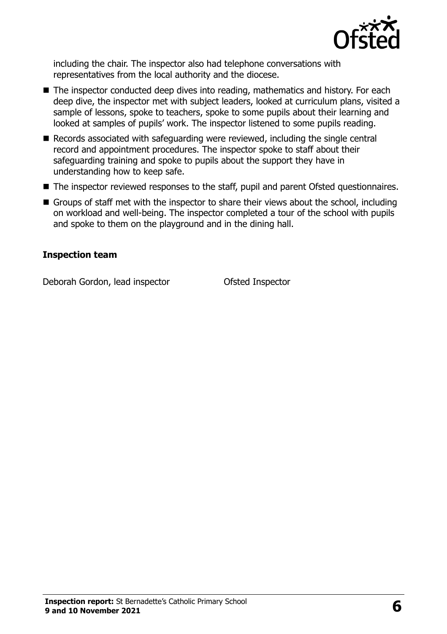

including the chair. The inspector also had telephone conversations with representatives from the local authority and the diocese.

- The inspector conducted deep dives into reading, mathematics and history. For each deep dive, the inspector met with subject leaders, looked at curriculum plans, visited a sample of lessons, spoke to teachers, spoke to some pupils about their learning and looked at samples of pupils' work. The inspector listened to some pupils reading.
- Records associated with safeguarding were reviewed, including the single central record and appointment procedures. The inspector spoke to staff about their safeguarding training and spoke to pupils about the support they have in understanding how to keep safe.
- The inspector reviewed responses to the staff, pupil and parent Ofsted questionnaires.
- Groups of staff met with the inspector to share their views about the school, including on workload and well-being. The inspector completed a tour of the school with pupils and spoke to them on the playground and in the dining hall.

#### **Inspection team**

Deborah Gordon, lead inspector **Ofsted Inspector**